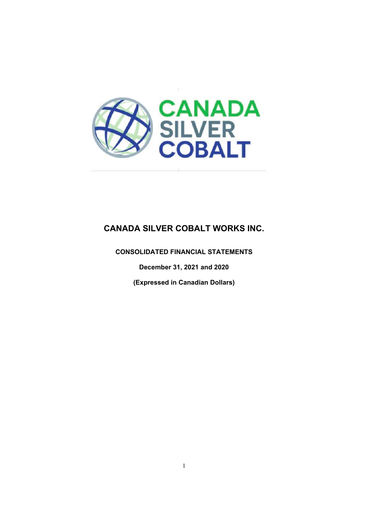

## **CONSOLIDATED FINANCIAL STATEMENTS**

**December 31, 2021 and 2020** 

**(Expressed in Canadian Dollars)**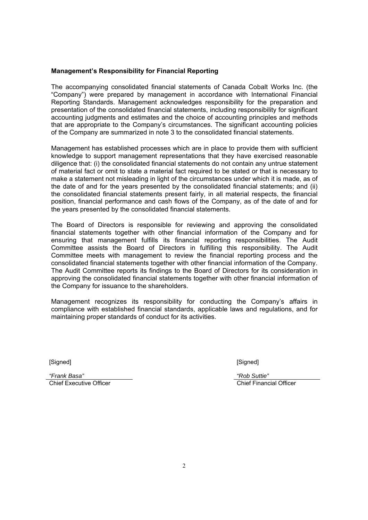#### **Management's Responsibility for Financial Reporting**

The accompanying consolidated financial statements of Canada Cobalt Works Inc. (the "Company") were prepared by management in accordance with International Financial Reporting Standards. Management acknowledges responsibility for the preparation and presentation of the consolidated financial statements, including responsibility for significant accounting judgments and estimates and the choice of accounting principles and methods that are appropriate to the Company's circumstances. The significant accounting policies of the Company are summarized in note 3 to the consolidated financial statements.

Management has established processes which are in place to provide them with sufficient knowledge to support management representations that they have exercised reasonable diligence that: (i) the consolidated financial statements do not contain any untrue statement of material fact or omit to state a material fact required to be stated or that is necessary to make a statement not misleading in light of the circumstances under which it is made, as of the date of and for the years presented by the consolidated financial statements; and (ii) the consolidated financial statements present fairly, in all material respects, the financial position, financial performance and cash flows of the Company, as of the date of and for the years presented by the consolidated financial statements.

The Board of Directors is responsible for reviewing and approving the consolidated financial statements together with other financial information of the Company and for ensuring that management fulfills its financial reporting responsibilities. The Audit Committee assists the Board of Directors in fulfilling this responsibility. The Audit Committee meets with management to review the financial reporting process and the consolidated financial statements together with other financial information of the Company. The Audit Committee reports its findings to the Board of Directors for its consideration in approving the consolidated financial statements together with other financial information of the Company for issuance to the shareholders.

Management recognizes its responsibility for conducting the Company's affairs in compliance with established financial standards, applicable laws and regulations, and for maintaining proper standards of conduct for its activities.

[Signed] [Signed]

*"Frank Basa" "Rob Suttie"* Chief Executive Officer Chief Financial Officer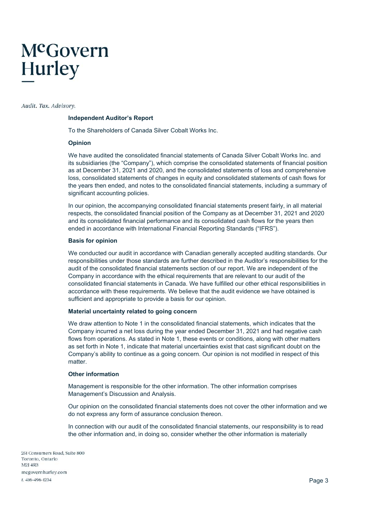# McGovern **Hurley**

Audit. Tax. Advisory.

#### **Independent Auditor's Report**

To the Shareholders of Canada Silver Cobalt Works Inc.

#### **Opinion**

We have audited the consolidated financial statements of Canada Silver Cobalt Works Inc. and its subsidiaries (the "Company"), which comprise the consolidated statements of financial position as at December 31, 2021 and 2020, and the consolidated statements of loss and comprehensive loss, consolidated statements of changes in equity and consolidated statements of cash flows for the years then ended, and notes to the consolidated financial statements, including a summary of significant accounting policies.

In our opinion, the accompanying consolidated financial statements present fairly, in all material respects, the consolidated financial position of the Company as at December 31, 2021 and 2020 and its consolidated financial performance and its consolidated cash flows for the years then ended in accordance with International Financial Reporting Standards ("IFRS").

#### **Basis for opinion**

We conducted our audit in accordance with Canadian generally accepted auditing standards. Our responsibilities under those standards are further described in the Auditor's responsibilities for the audit of the consolidated financial statements section of our report. We are independent of the Company in accordance with the ethical requirements that are relevant to our audit of the consolidated financial statements in Canada. We have fulfilled our other ethical responsibilities in accordance with these requirements. We believe that the audit evidence we have obtained is sufficient and appropriate to provide a basis for our opinion.

#### **Material uncertainty related to going concern**

We draw attention to Note 1 in the consolidated financial statements, which indicates that the Company incurred a net loss during the year ended December 31, 2021 and had negative cash flows from operations. As stated in Note 1, these events or conditions, along with other matters as set forth in Note 1, indicate that material uncertainties exist that cast significant doubt on the Company's ability to continue as a going concern. Our opinion is not modified in respect of this matter.

#### **Other information**

Management is responsible for the other information. The other information comprises Management's Discussion and Analysis.

Our opinion on the consolidated financial statements does not cover the other information and we do not express any form of assurance conclusion thereon.

In connection with our audit of the consolidated financial statements, our responsibility is to read the other information and, in doing so, consider whether the other information is materially

251 Consumers Road, Suite 800 Toronto Ontario M21 4R3 mcgovernhurley.com t. 416-496-1234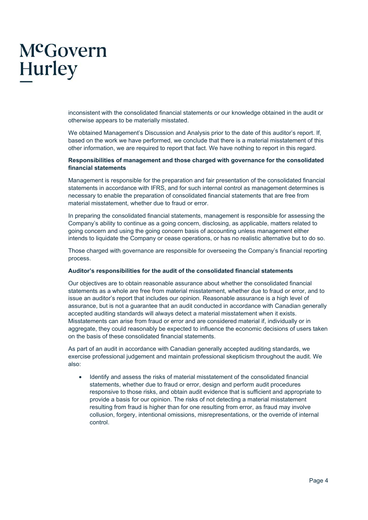# McGovern **Hurley**

inconsistent with the consolidated financial statements or our knowledge obtained in the audit or otherwise appears to be materially misstated.

We obtained Management's Discussion and Analysis prior to the date of this auditor's report. If, based on the work we have performed, we conclude that there is a material misstatement of this other information, we are required to report that fact. We have nothing to report in this regard.

#### **Responsibilities of management and those charged with governance for the consolidated financial statements**

Management is responsible for the preparation and fair presentation of the consolidated financial statements in accordance with IFRS, and for such internal control as management determines is necessary to enable the preparation of consolidated financial statements that are free from material misstatement, whether due to fraud or error.

In preparing the consolidated financial statements, management is responsible for assessing the Company's ability to continue as a going concern, disclosing, as applicable, matters related to going concern and using the going concern basis of accounting unless management either intends to liquidate the Company or cease operations, or has no realistic alternative but to do so.

Those charged with governance are responsible for overseeing the Company's financial reporting process.

#### **Auditor's responsibilities for the audit of the consolidated financial statements**

Our objectives are to obtain reasonable assurance about whether the consolidated financial statements as a whole are free from material misstatement, whether due to fraud or error, and to issue an auditor's report that includes our opinion. Reasonable assurance is a high level of assurance, but is not a guarantee that an audit conducted in accordance with Canadian generally accepted auditing standards will always detect a material misstatement when it exists. Misstatements can arise from fraud or error and are considered material if, individually or in aggregate, they could reasonably be expected to influence the economic decisions of users taken on the basis of these consolidated financial statements.

As part of an audit in accordance with Canadian generally accepted auditing standards, we exercise professional judgement and maintain professional skepticism throughout the audit. We also:

• Identify and assess the risks of material misstatement of the consolidated financial statements, whether due to fraud or error, design and perform audit procedures responsive to those risks, and obtain audit evidence that is sufficient and appropriate to provide a basis for our opinion. The risks of not detecting a material misstatement resulting from fraud is higher than for one resulting from error, as fraud may involve collusion, forgery, intentional omissions, misrepresentations, or the override of internal control.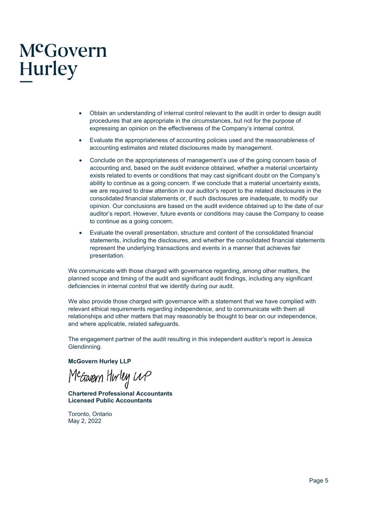# McGovern Hurley

- Obtain an understanding of internal control relevant to the audit in order to design audit procedures that are appropriate in the circumstances, but not for the purpose of expressing an opinion on the effectiveness of the Company's internal control.
- Evaluate the appropriateness of accounting policies used and the reasonableness of accounting estimates and related disclosures made by management.
- Conclude on the appropriateness of management's use of the going concern basis of accounting and, based on the audit evidence obtained, whether a material uncertainty exists related to events or conditions that may cast significant doubt on the Company's ability to continue as a going concern. If we conclude that a material uncertainty exists, we are required to draw attention in our auditor's report to the related disclosures in the consolidated financial statements or, if such disclosures are inadequate, to modify our opinion. Our conclusions are based on the audit evidence obtained up to the date of our auditor's report. However, future events or conditions may cause the Company to cease to continue as a going concern.
- Evaluate the overall presentation, structure and content of the consolidated financial statements, including the disclosures, and whether the consolidated financial statements represent the underlying transactions and events in a manner that achieves fair presentation.

We communicate with those charged with governance regarding, among other matters, the planned scope and timing of the audit and significant audit findings, including any significant deficiencies in internal control that we identify during our audit.

We also provide those charged with governance with a statement that we have complied with relevant ethical requirements regarding independence, and to communicate with them all relationships and other matters that may reasonably be thought to bear on our independence, and where applicable, related safeguards.

The engagement partner of the audit resulting in this independent auditor's report is Jessica Glendinning.

**McGovern Hurley LLP** 

Me<sub>chwern</sub> Hurley UP

**Chartered Professional Accountants Licensed Public Accountants** 

Toronto, Ontario May 2, 2022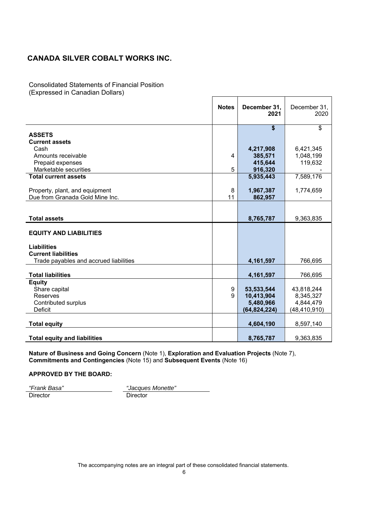Consolidated Statements of Financial Position (Expressed in Canadian Dollars)

|                                        | <b>Notes</b> | December 31,<br>2021        | December 31,<br>2020 |
|----------------------------------------|--------------|-----------------------------|----------------------|
|                                        |              | $\overline{\mathbf{s}}$     | $\mathbf{\$}$        |
| <b>ASSETS</b>                          |              |                             |                      |
| <b>Current assets</b><br>Cash          |              | 4,217,908                   | 6,421,345            |
| Amounts receivable                     | 4            | 385,571                     | 1,048,199            |
| Prepaid expenses                       |              | 415,644                     | 119,632              |
| Marketable securities                  | 5            | 916,320                     |                      |
| <b>Total current assets</b>            |              | 5,935,443                   | 7,589,176            |
|                                        |              |                             |                      |
| Property, plant, and equipment         | 8            | 1,967,387                   | 1,774,659            |
| Due from Granada Gold Mine Inc.        | 11           | 862,957                     |                      |
|                                        |              |                             |                      |
| <b>Total assets</b>                    |              | 8,765,787                   | 9,363,835            |
|                                        |              |                             |                      |
| <b>EQUITY AND LIABILITIES</b>          |              |                             |                      |
| <b>Liabilities</b>                     |              |                             |                      |
| <b>Current liabilities</b>             |              |                             |                      |
| Trade payables and accrued liabilities |              | 4,161,597                   | 766,695              |
|                                        |              |                             |                      |
| <b>Total liabilities</b>               |              | 4, 161, 597                 | 766,695              |
| <b>Equity</b>                          |              |                             |                      |
| Share capital                          | 9            | 53,533,544                  | 43,818,244           |
| <b>Reserves</b>                        | 9            | 10,413,904                  | 8,345,327            |
| Contributed surplus<br><b>Deficit</b>  |              | 5,480,966<br>(64, 824, 224) | 4,844,479            |
|                                        |              |                             | (48, 410, 910)       |
| <b>Total equity</b>                    |              | 4,604,190                   | 8,597,140            |
|                                        |              |                             |                      |
| <b>Total equity and liabilities</b>    |              | 8,765,787                   | 9,363,835            |

**Nature of Business and Going Concern** (Note 1), **Exploration and Evaluation Projects** (Note 7), **Commitments and Contingencies** (Note 15) and **Subsequent Events** (Note 16)

#### **APPROVED BY THE BOARD:**

*"Frank Basa" "Jacques Monette"* Director Director Director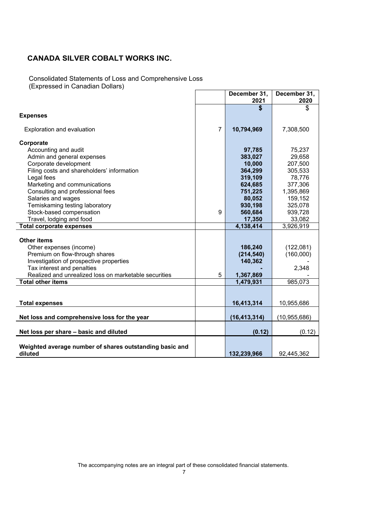Consolidated Statements of Loss and Comprehensive Loss (Expressed in Canadian Dollars)

|                                                                                                                                                                                                                                                                                                              |                | December 31,<br>2021                                                                                    | December 31,<br>2020                                                                                      |
|--------------------------------------------------------------------------------------------------------------------------------------------------------------------------------------------------------------------------------------------------------------------------------------------------------------|----------------|---------------------------------------------------------------------------------------------------------|-----------------------------------------------------------------------------------------------------------|
| <b>Expenses</b>                                                                                                                                                                                                                                                                                              |                | \$                                                                                                      | \$                                                                                                        |
| <b>Exploration and evaluation</b>                                                                                                                                                                                                                                                                            | $\overline{7}$ | 10,794,969                                                                                              | 7,308,500                                                                                                 |
| Corporate<br>Accounting and audit<br>Admin and general expenses<br>Corporate development<br>Filing costs and shareholders' information<br>Legal fees<br>Marketing and communications<br>Consulting and professional fees<br>Salaries and wages<br>Temiskaming testing laboratory<br>Stock-based compensation | 9              | 97,785<br>383,027<br>10,000<br>364,299<br>319,109<br>624,685<br>751,225<br>80,052<br>930,198<br>560,684 | 75,237<br>29,658<br>207,500<br>305,533<br>78,776<br>377,306<br>1,395,869<br>159,152<br>325,078<br>939,728 |
| Travel, lodging and food<br><b>Total corporate expenses</b>                                                                                                                                                                                                                                                  |                | 17,350<br>4,138,414                                                                                     | 33,082<br>3,926,919                                                                                       |
| <b>Other items</b><br>Other expenses (income)<br>Premium on flow-through shares<br>Investigation of prospective properties<br>Tax interest and penalties<br>Realized and unrealized loss on marketable securities                                                                                            | 5              | 186,240<br>(214, 540)<br>140,362<br>1,367,869                                                           | (122,081)<br>(160,000)<br>2,348                                                                           |
| <b>Total other items</b>                                                                                                                                                                                                                                                                                     |                | 1,479,931                                                                                               | 985,073                                                                                                   |
| <b>Total expenses</b><br>Net loss and comprehensive loss for the year                                                                                                                                                                                                                                        |                | 16,413,314<br>(16, 413, 314)                                                                            | 10,955,686<br>(10, 955, 686)                                                                              |
|                                                                                                                                                                                                                                                                                                              |                |                                                                                                         |                                                                                                           |
| Net loss per share - basic and diluted                                                                                                                                                                                                                                                                       |                | (0.12)                                                                                                  | (0.12)                                                                                                    |
| Weighted average number of shares outstanding basic and<br>diluted                                                                                                                                                                                                                                           |                | 132,239,966                                                                                             | 92,445,362                                                                                                |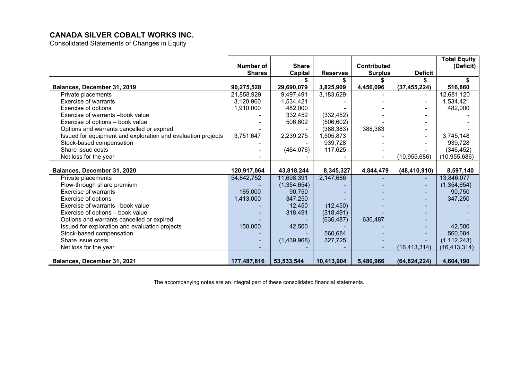Consolidated Statements of Changes in Equity

|                                                              | Number of<br><b>Shares</b> | <b>Share</b><br>Capital | <b>Reserves</b> | <b>Contributed</b><br><b>Surplus</b> | <b>Deficit</b> | <b>Total Equity</b><br>(Deficit) |
|--------------------------------------------------------------|----------------------------|-------------------------|-----------------|--------------------------------------|----------------|----------------------------------|
|                                                              |                            |                         |                 |                                      |                | \$                               |
| Balances, December 31, 2019                                  | 90,275,528                 | 29,690,079              | 3,825,909       | 4,456,096                            | (37, 455, 224) | 516,860                          |
| Private placements                                           | 21,858,929                 | 9,497,491               | 3,183,629       |                                      |                | 12,681,120                       |
| <b>Exercise of warrants</b>                                  | 3,120,960                  | 1,534,421               |                 |                                      |                | 1,534,421                        |
| <b>Exercise of options</b>                                   | 1,910,000                  | 482,000                 |                 |                                      |                | 482,000                          |
| Exercise of warrants -book value                             |                            | 332,452                 | (332, 452)      |                                      |                |                                  |
| Exercise of options - book value                             |                            | 506,602                 | (506, 602)      |                                      |                |                                  |
| Options and warrants cancelled or expired                    |                            |                         | (388, 383)      | 388,383                              |                |                                  |
| Issued for equipment and exploration and evaluation projects | 3,751,647                  | 2,239,275               | 1,505,873       |                                      |                | 3,745,148                        |
| Stock-based compensation                                     |                            |                         | 939,728         |                                      |                | 939,728                          |
| Share issue costs                                            |                            | (464, 076)              | 117,625         |                                      |                | (346, 452)                       |
| Net loss for the year                                        |                            |                         |                 |                                      | (10, 955, 686) | (10, 955, 686)                   |
|                                                              |                            |                         |                 |                                      |                |                                  |
| Balances, December 31, 2020                                  | 120,917,064                | 43,818,244              | 8,345,327       | 4,844,479                            | (48, 410, 910) | 8,597,140                        |
| Private placements                                           | 54,842,752                 | 11,698,391              | 2,147,686       |                                      |                | 13,846,077                       |
| Flow-through share premium                                   |                            | (1,354,654)             |                 |                                      |                | (1,354,654)                      |
| Exercise of warrants                                         | 165,000                    | 90,750                  |                 |                                      |                | 90,750                           |
| Exercise of options                                          | 1,413,000                  | 347,250                 |                 |                                      |                | 347,250                          |
| Exercise of warrants -book value                             |                            | 12,450                  | (12, 450)       |                                      |                |                                  |
| Exercise of options - book value                             |                            | 318,491                 | (318, 491)      |                                      |                |                                  |
| Options and warrants cancelled or expired                    |                            |                         | (636, 487)      | 636,487                              |                |                                  |
| Issued for exploration and evaluation projects               | 150,000                    | 42,500                  |                 |                                      |                | 42,500                           |
| Stock-based compensation                                     |                            |                         | 560,684         |                                      |                | 560,684                          |
| Share issue costs                                            |                            | (1,439,968)             | 327,725         |                                      |                | (1, 112, 243)                    |
| Net loss for the year                                        |                            |                         |                 |                                      | (16, 413, 314) | (16, 413, 314)                   |
| Balances, December 31, 2021                                  | 177,487,816                | 53,533,544              | 10,413,904      | 5,480,966                            | (64, 824, 224) | 4,604,190                        |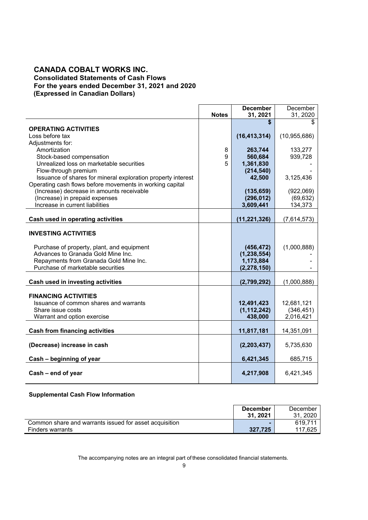## **CANADA COBALT WORKS INC. Consolidated Statements of Cash Flows For the years ended December 31, 2021 and 2020 (Expressed in Canadian Dollars)**

|                                                                             |              | <b>December</b>    | December           |
|-----------------------------------------------------------------------------|--------------|--------------------|--------------------|
|                                                                             | <b>Notes</b> | 31, 2021           | 31, 2020           |
|                                                                             |              | \$                 | \$                 |
| <b>OPERATING ACTIVITIES</b>                                                 |              |                    |                    |
| Loss before tax                                                             |              | (16, 413, 314)     | (10, 955, 686)     |
| Adjustments for:<br>Amortization                                            |              |                    |                    |
| Stock-based compensation                                                    | 8<br>9       | 263,744<br>560,684 | 133,277<br>939,728 |
| Unrealized loss on marketable securities                                    | 5            | 1,361,830          |                    |
| Flow-through premium                                                        |              | (214, 540)         |                    |
| Issuance of shares for mineral exploration property interest                |              | 42,500             | 3,125,436          |
| Operating cash flows before movements in working capital                    |              |                    |                    |
| (Increase) decrease in amounts receivable                                   |              | (135, 659)         | (922,069)          |
| (Increase) in prepaid expenses                                              |              | (296, 012)         | (69, 632)          |
| Increase in current liabilities                                             |              | 3,609,441          | 134,373            |
|                                                                             |              |                    |                    |
| Cash used in operating activities                                           |              | (11, 221, 326)     | (7,614,573)        |
| <b>INVESTING ACTIVITIES</b>                                                 |              |                    |                    |
| Purchase of property, plant, and equipment                                  |              | (456, 472)         | (1,000,888)        |
| Advances to Granada Gold Mine Inc.                                          |              | (1, 238, 554)      |                    |
| Repayments from Granada Gold Mine Inc.<br>Purchase of marketable securities |              | 1,173,884          |                    |
|                                                                             |              | (2, 278, 150)      |                    |
| Cash used in investing activities                                           |              | (2,799,292)        | (1,000,888)        |
| <b>FINANCING ACTIVITIES</b>                                                 |              |                    |                    |
| Issuance of common shares and warrants                                      |              | 12,491,423         | 12,681,121         |
| Share issue costs                                                           |              | (1, 112, 242)      | (346, 451)         |
| Warrant and option exercise                                                 |              | 438,000            | 2,016,421          |
|                                                                             |              |                    |                    |
| <b>Cash from financing activities</b>                                       |              | 11,817,181         | 14,351,091         |
| (Decrease) increase in cash                                                 |              | (2,203,437)        | 5,735,630          |
| Cash - beginning of year                                                    |              | 6,421,345          | 685,715            |
| Cash - end of year                                                          |              | 4,217,908          | 6,421,345          |

## **Supplemental Cash Flow Information**

|                                                        | December<br>31.2021 | December<br>31.2020 |
|--------------------------------------------------------|---------------------|---------------------|
| Common share and warrants issued for asset acquisition |                     | 619.711             |
| <b>Finders warrants</b>                                | 327.725             | 117,625             |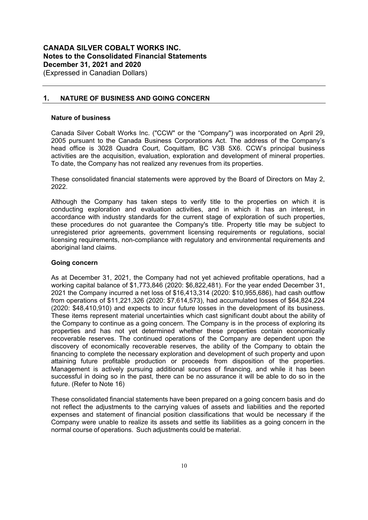**1. NATURE OF BUSINESS AND GOING CONCERN** 

#### **Nature of business**

Canada Silver Cobalt Works Inc. ("CCW" or the "Company") was incorporated on April 29, 2005 pursuant to the Canada Business Corporations Act. The address of the Company's head office is 3028 Quadra Court, Coquitlam, BC V3B 5X6. CCW's principal business activities are the acquisition, evaluation, exploration and development of mineral properties. To date, the Company has not realized any revenues from its properties.

These consolidated financial statements were approved by the Board of Directors on May 2, 2022.

Although the Company has taken steps to verify title to the properties on which it is conducting exploration and evaluation activities, and in which it has an interest, in accordance with industry standards for the current stage of exploration of such properties, these procedures do not guarantee the Company's title. Property title may be subject to unregistered prior agreements, government licensing requirements or regulations, social licensing requirements, non-compliance with regulatory and environmental requirements and aboriginal land claims.

#### **Going concern**

As at December 31, 2021, the Company had not yet achieved profitable operations, had a working capital balance of \$1,773,846 (2020: \$6,822,481). For the year ended December 31, 2021 the Company incurred a net loss of \$16,413,314 (2020: \$10,955,686), had cash outflow from operations of \$11,221,326 (2020: \$7,614,573), had accumulated losses of \$64,824,224 (2020: \$48,410,910) and expects to incur future losses in the development of its business. These items represent material uncertainties which cast significant doubt about the ability of the Company to continue as a going concern. The Company is in the process of exploring its properties and has not yet determined whether these properties contain economically recoverable reserves. The continued operations of the Company are dependent upon the discovery of economically recoverable reserves, the ability of the Company to obtain the financing to complete the necessary exploration and development of such property and upon attaining future profitable production or proceeds from disposition of the properties. Management is actively pursuing additional sources of financing, and while it has been successful in doing so in the past, there can be no assurance it will be able to do so in the future. (Refer to Note 16)

These consolidated financial statements have been prepared on a going concern basis and do not reflect the adjustments to the carrying values of assets and liabilities and the reported expenses and statement of financial position classifications that would be necessary if the Company were unable to realize its assets and settle its liabilities as a going concern in the normal course of operations. Such adjustments could be material.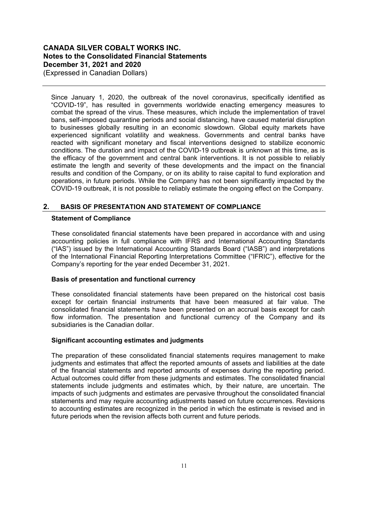(Expressed in Canadian Dollars)

Since January 1, 2020, the outbreak of the novel coronavirus, specifically identified as "COVID-19", has resulted in governments worldwide enacting emergency measures to combat the spread of the virus. These measures, which include the implementation of travel bans, self-imposed quarantine periods and social distancing, have caused material disruption to businesses globally resulting in an economic slowdown. Global equity markets have experienced significant volatility and weakness. Governments and central banks have reacted with significant monetary and fiscal interventions designed to stabilize economic conditions. The duration and impact of the COVID-19 outbreak is unknown at this time, as is the efficacy of the government and central bank interventions. It is not possible to reliably estimate the length and severity of these developments and the impact on the financial results and condition of the Company, or on its ability to raise capital to fund exploration and operations, in future periods. While the Company has not been significantly impacted by the COVID-19 outbreak, it is not possible to reliably estimate the ongoing effect on the Company.

## **2. BASIS OF PRESENTATION AND STATEMENT OF COMPLIANCE**

#### **Statement of Compliance**

These consolidated financial statements have been prepared in accordance with and using accounting policies in full compliance with IFRS and International Accounting Standards ("IAS") issued by the International Accounting Standards Board ("IASB") and interpretations of the International Financial Reporting Interpretations Committee ("IFRIC"), effective for the Company's reporting for the year ended December 31, 2021.

#### **Basis of presentation and functional currency**

These consolidated financial statements have been prepared on the historical cost basis except for certain financial instruments that have been measured at fair value. The consolidated financial statements have been presented on an accrual basis except for cash flow information. The presentation and functional currency of the Company and its subsidiaries is the Canadian dollar.

#### **Significant accounting estimates and judgments**

The preparation of these consolidated financial statements requires management to make judgments and estimates that affect the reported amounts of assets and liabilities at the date of the financial statements and reported amounts of expenses during the reporting period. Actual outcomes could differ from these judgments and estimates. The consolidated financial statements include judgments and estimates which, by their nature, are uncertain. The impacts of such judgments and estimates are pervasive throughout the consolidated financial statements and may require accounting adjustments based on future occurrences. Revisions to accounting estimates are recognized in the period in which the estimate is revised and in future periods when the revision affects both current and future periods.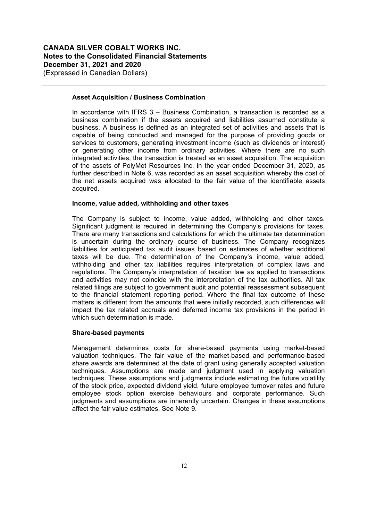### **Asset Acquisition / Business Combination**

In accordance with IFRS 3 – Business Combination, a transaction is recorded as a business combination if the assets acquired and liabilities assumed constitute a business. A business is defined as an integrated set of activities and assets that is capable of being conducted and managed for the purpose of providing goods or services to customers, generating investment income (such as dividends or interest) or generating other income from ordinary activities. Where there are no such integrated activities, the transaction is treated as an asset acquisition. The acquisition of the assets of PolyMet Resources Inc. in the year ended December 31, 2020, as further described in Note 6, was recorded as an asset acquisition whereby the cost of the net assets acquired was allocated to the fair value of the identifiable assets acquired.

#### **Income, value added, withholding and other taxes**

The Company is subject to income, value added, withholding and other taxes. Significant judgment is required in determining the Company's provisions for taxes. There are many transactions and calculations for which the ultimate tax determination is uncertain during the ordinary course of business. The Company recognizes liabilities for anticipated tax audit issues based on estimates of whether additional taxes will be due. The determination of the Company's income, value added, withholding and other tax liabilities requires interpretation of complex laws and regulations. The Company's interpretation of taxation law as applied to transactions and activities may not coincide with the interpretation of the tax authorities. All tax related filings are subject to government audit and potential reassessment subsequent to the financial statement reporting period. Where the final tax outcome of these matters is different from the amounts that were initially recorded, such differences will impact the tax related accruals and deferred income tax provisions in the period in which such determination is made.

#### **Share-based payments**

Management determines costs for share-based payments using market-based valuation techniques. The fair value of the market-based and performance-based share awards are determined at the date of grant using generally accepted valuation techniques. Assumptions are made and judgment used in applying valuation techniques. These assumptions and judgments include estimating the future volatility of the stock price, expected dividend yield, future employee turnover rates and future employee stock option exercise behaviours and corporate performance. Such judgments and assumptions are inherently uncertain. Changes in these assumptions affect the fair value estimates. See Note 9.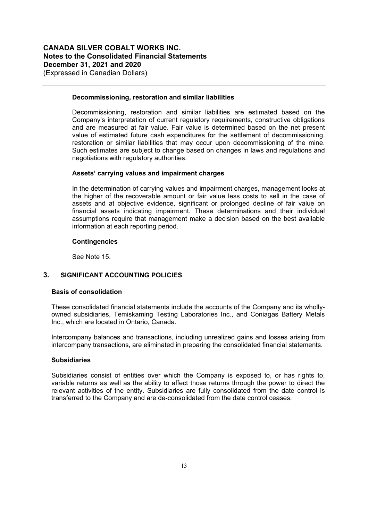(Expressed in Canadian Dollars)

#### **Decommissioning, restoration and similar liabilities**

Decommissioning, restoration and similar liabilities are estimated based on the Company's interpretation of current regulatory requirements, constructive obligations and are measured at fair value. Fair value is determined based on the net present value of estimated future cash expenditures for the settlement of decommissioning, restoration or similar liabilities that may occur upon decommissioning of the mine. Such estimates are subject to change based on changes in laws and regulations and negotiations with regulatory authorities.

#### **Assets' carrying values and impairment charges**

In the determination of carrying values and impairment charges, management looks at the higher of the recoverable amount or fair value less costs to sell in the case of assets and at objective evidence, significant or prolonged decline of fair value on financial assets indicating impairment. These determinations and their individual assumptions require that management make a decision based on the best available information at each reporting period.

#### **Contingencies**

See Note 15.

#### **3. SIGNIFICANT ACCOUNTING POLICIES**

#### **Basis of consolidation**

These consolidated financial statements include the accounts of the Company and its whollyowned subsidiaries, Temiskaming Testing Laboratories Inc., and Coniagas Battery Metals Inc., which are located in Ontario, Canada.

Intercompany balances and transactions, including unrealized gains and losses arising from intercompany transactions, are eliminated in preparing the consolidated financial statements.

#### **Subsidiaries**

Subsidiaries consist of entities over which the Company is exposed to, or has rights to, variable returns as well as the ability to affect those returns through the power to direct the relevant activities of the entity. Subsidiaries are fully consolidated from the date control is transferred to the Company and are de-consolidated from the date control ceases.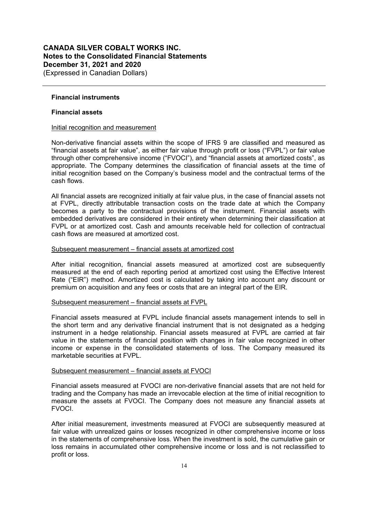#### **Financial instruments**

#### **Financial assets**

#### Initial recognition and measurement

Non-derivative financial assets within the scope of IFRS 9 are classified and measured as "financial assets at fair value", as either fair value through profit or loss ("FVPL") or fair value through other comprehensive income ("FVOCI"), and "financial assets at amortized costs", as appropriate. The Company determines the classification of financial assets at the time of initial recognition based on the Company's business model and the contractual terms of the cash flows.

All financial assets are recognized initially at fair value plus, in the case of financial assets not at FVPL, directly attributable transaction costs on the trade date at which the Company becomes a party to the contractual provisions of the instrument. Financial assets with embedded derivatives are considered in their entirety when determining their classification at FVPL or at amortized cost. Cash and amounts receivable held for collection of contractual cash flows are measured at amortized cost.

#### Subsequent measurement – financial assets at amortized cost

After initial recognition, financial assets measured at amortized cost are subsequently measured at the end of each reporting period at amortized cost using the Effective Interest Rate ("EIR") method. Amortized cost is calculated by taking into account any discount or premium on acquisition and any fees or costs that are an integral part of the EIR.

#### Subsequent measurement – financial assets at FVPL

Financial assets measured at FVPL include financial assets management intends to sell in the short term and any derivative financial instrument that is not designated as a hedging instrument in a hedge relationship. Financial assets measured at FVPL are carried at fair value in the statements of financial position with changes in fair value recognized in other income or expense in the consolidated statements of loss. The Company measured its marketable securities at FVPL.

#### Subsequent measurement – financial assets at FVOCI

Financial assets measured at FVOCI are non-derivative financial assets that are not held for trading and the Company has made an irrevocable election at the time of initial recognition to measure the assets at FVOCI. The Company does not measure any financial assets at FVOCI.

After initial measurement, investments measured at FVOCI are subsequently measured at fair value with unrealized gains or losses recognized in other comprehensive income or loss in the statements of comprehensive loss. When the investment is sold, the cumulative gain or loss remains in accumulated other comprehensive income or loss and is not reclassified to profit or loss.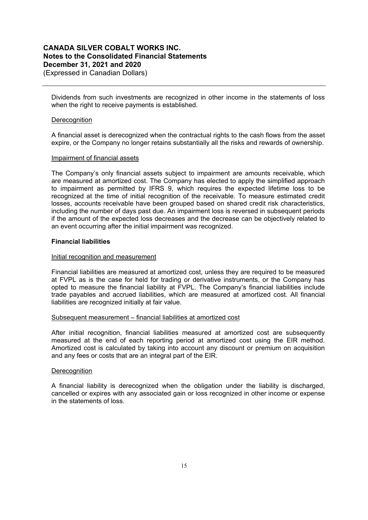(Expressed in Canadian Dollars)

Dividends from such investments are recognized in other income in the statements of loss when the right to receive payments is established.

#### **Derecognition**

A financial asset is derecognized when the contractual rights to the cash flows from the asset expire, or the Company no longer retains substantially all the risks and rewards of ownership.

#### Impairment of financial assets

The Company's only financial assets subject to impairment are amounts receivable, which are measured at amortized cost. The Company has elected to apply the simplified approach to impairment as permitted by IFRS 9, which requires the expected lifetime loss to be recognized at the time of initial recognition of the receivable. To measure estimated credit losses, accounts receivable have been grouped based on shared credit risk characteristics, including the number of days past due. An impairment loss is reversed in subsequent periods if the amount of the expected loss decreases and the decrease can be objectively related to an event occurring after the initial impairment was recognized.

#### **Financial liabilities**

#### Initial recognition and measurement

Financial liabilities are measured at amortized cost, unless they are required to be measured at FVPL as is the case for held for trading or derivative instruments, or the Company has opted to measure the financial liability at FVPL. The Company's financial liabilities include trade payables and accrued liabilities, which are measured at amortized cost. All financial liabilities are recognized initially at fair value.

#### Subsequent measurement – financial liabilities at amortized cost

After initial recognition, financial liabilities measured at amortized cost are subsequently measured at the end of each reporting period at amortized cost using the EIR method. Amortized cost is calculated by taking into account any discount or premium on acquisition and any fees or costs that are an integral part of the EIR.

#### **Derecognition**

A financial liability is derecognized when the obligation under the liability is discharged, cancelled or expires with any associated gain or loss recognized in other income or expense in the statements of loss.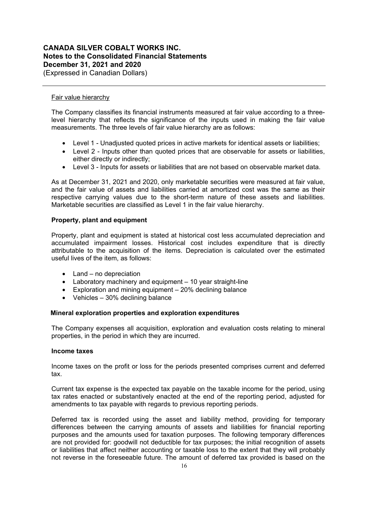(Expressed in Canadian Dollars)

#### Fair value hierarchy

The Company classifies its financial instruments measured at fair value according to a threelevel hierarchy that reflects the significance of the inputs used in making the fair value measurements. The three levels of fair value hierarchy are as follows:

- Level 1 Unadjusted quoted prices in active markets for identical assets or liabilities;
- Level 2 Inputs other than quoted prices that are observable for assets or liabilities, either directly or indirectly;
- Level 3 Inputs for assets or liabilities that are not based on observable market data.

As at December 31, 2021 and 2020, only marketable securities were measured at fair value, and the fair value of assets and liabilities carried at amortized cost was the same as their respective carrying values due to the short-term nature of these assets and liabilities. Marketable securities are classified as Level 1 in the fair value hierarchy.

#### **Property, plant and equipment**

Property, plant and equipment is stated at historical cost less accumulated depreciation and accumulated impairment losses. Historical cost includes expenditure that is directly attributable to the acquisition of the items. Depreciation is calculated over the estimated useful lives of the item, as follows:

- Land no depreciation
- Laboratory machinery and equipment 10 year straight-line
- Exploration and mining equipment 20% declining balance
- Vehicles 30% declining balance

#### **Mineral exploration properties and exploration expenditures**

The Company expenses all acquisition, exploration and evaluation costs relating to mineral properties, in the period in which they are incurred.

#### **Income taxes**

Income taxes on the profit or loss for the periods presented comprises current and deferred tax.

Current tax expense is the expected tax payable on the taxable income for the period, using tax rates enacted or substantively enacted at the end of the reporting period, adjusted for amendments to tax payable with regards to previous reporting periods.

Deferred tax is recorded using the asset and liability method, providing for temporary differences between the carrying amounts of assets and liabilities for financial reporting purposes and the amounts used for taxation purposes. The following temporary differences are not provided for: goodwill not deductible for tax purposes; the initial recognition of assets or liabilities that affect neither accounting or taxable loss to the extent that they will probably not reverse in the foreseeable future. The amount of deferred tax provided is based on the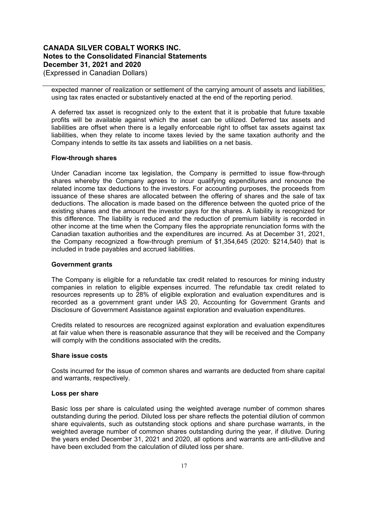(Expressed in Canadian Dollars)

expected manner of realization or settlement of the carrying amount of assets and liabilities, using tax rates enacted or substantively enacted at the end of the reporting period.

A deferred tax asset is recognized only to the extent that it is probable that future taxable profits will be available against which the asset can be utilized. Deferred tax assets and liabilities are offset when there is a legally enforceable right to offset tax assets against tax liabilities, when they relate to income taxes levied by the same taxation authority and the Company intends to settle its tax assets and liabilities on a net basis.

#### **Flow-through shares**

Under Canadian income tax legislation, the Company is permitted to issue flow-through shares whereby the Company agrees to incur qualifying expenditures and renounce the related income tax deductions to the investors. For accounting purposes, the proceeds from issuance of these shares are allocated between the offering of shares and the sale of tax deductions. The allocation is made based on the difference between the quoted price of the existing shares and the amount the investor pays for the shares. A liability is recognized for this difference. The liability is reduced and the reduction of premium liability is recorded in other income at the time when the Company files the appropriate renunciation forms with the Canadian taxation authorities and the expenditures are incurred. As at December 31, 2021, the Company recognized a flow-through premium of \$1,354,645 (2020: \$214,540) that is included in trade payables and accrued liabilities.

#### **Government grants**

The Company is eligible for a refundable tax credit related to resources for mining industry companies in relation to eligible expenses incurred. The refundable tax credit related to resources represents up to 28% of eligible exploration and evaluation expenditures and is recorded as a government grant under IAS 20, Accounting for Government Grants and Disclosure of Government Assistance against exploration and evaluation expenditures.

Credits related to resources are recognized against exploration and evaluation expenditures at fair value when there is reasonable assurance that they will be received and the Company will comply with the conditions associated with the credits**.** 

#### **Share issue costs**

Costs incurred for the issue of common shares and warrants are deducted from share capital and warrants, respectively.

#### **Loss per share**

Basic loss per share is calculated using the weighted average number of common shares outstanding during the period. Diluted loss per share reflects the potential dilution of common share equivalents, such as outstanding stock options and share purchase warrants, in the weighted average number of common shares outstanding during the year, if dilutive. During the years ended December 31, 2021 and 2020, all options and warrants are anti-dilutive and have been excluded from the calculation of diluted loss per share.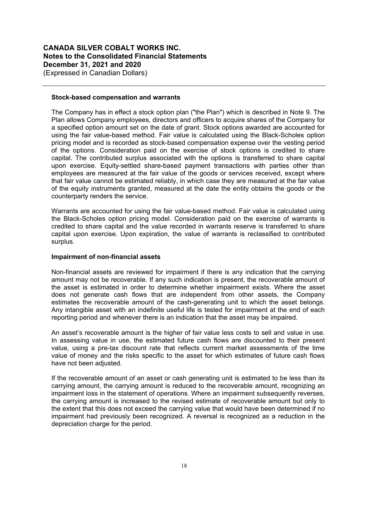(Expressed in Canadian Dollars)

#### **Stock-based compensation and warrants**

The Company has in effect a stock option plan ("the Plan") which is described in Note 9. The Plan allows Company employees, directors and officers to acquire shares of the Company for a specified option amount set on the date of grant. Stock options awarded are accounted for using the fair value-based method. Fair value is calculated using the Black-Scholes option pricing model and is recorded as stock-based compensation expense over the vesting period of the options. Consideration paid on the exercise of stock options is credited to share capital. The contributed surplus associated with the options is transferred to share capital upon exercise. Equity-settled share-based payment transactions with parties other than employees are measured at the fair value of the goods or services received, except where that fair value cannot be estimated reliably, in which case they are measured at the fair value of the equity instruments granted, measured at the date the entity obtains the goods or the counterparty renders the service.

Warrants are accounted for using the fair value-based method. Fair value is calculated using the Black-Scholes option pricing model. Consideration paid on the exercise of warrants is credited to share capital and the value recorded in warrants reserve is transferred to share capital upon exercise. Upon expiration, the value of warrants is reclassified to contributed surplus.

#### **Impairment of non-financial assets**

Non-financial assets are reviewed for impairment if there is any indication that the carrying amount may not be recoverable. If any such indication is present, the recoverable amount of the asset is estimated in order to determine whether impairment exists. Where the asset does not generate cash flows that are independent from other assets, the Company estimates the recoverable amount of the cash-generating unit to which the asset belongs. Any intangible asset with an indefinite useful life is tested for impairment at the end of each reporting period and whenever there is an indication that the asset may be impaired.

An asset's recoverable amount is the higher of fair value less costs to sell and value in use. In assessing value in use, the estimated future cash flows are discounted to their present value, using a pre-tax discount rate that reflects current market assessments of the time value of money and the risks specific to the asset for which estimates of future cash flows have not been adjusted.

If the recoverable amount of an asset or cash generating unit is estimated to be less than its carrying amount, the carrying amount is reduced to the recoverable amount, recognizing an impairment loss in the statement of operations. Where an impairment subsequently reverses, the carrying amount is increased to the revised estimate of recoverable amount but only to the extent that this does not exceed the carrying value that would have been determined if no impairment had previously been recognized. A reversal is recognized as a reduction in the depreciation charge for the period.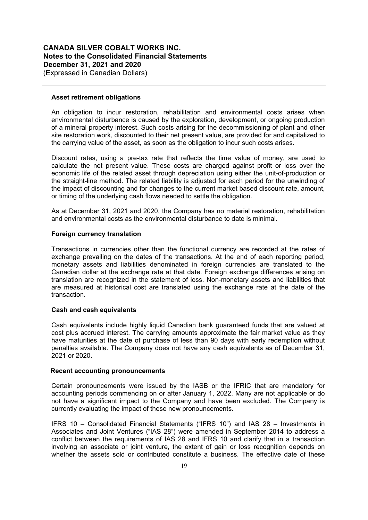(Expressed in Canadian Dollars)

#### **Asset retirement obligations**

An obligation to incur restoration, rehabilitation and environmental costs arises when environmental disturbance is caused by the exploration, development, or ongoing production of a mineral property interest. Such costs arising for the decommissioning of plant and other site restoration work, discounted to their net present value, are provided for and capitalized to the carrying value of the asset, as soon as the obligation to incur such costs arises.

Discount rates, using a pre-tax rate that reflects the time value of money, are used to calculate the net present value. These costs are charged against profit or loss over the economic life of the related asset through depreciation using either the unit-of-production or the straight-line method. The related liability is adjusted for each period for the unwinding of the impact of discounting and for changes to the current market based discount rate, amount, or timing of the underlying cash flows needed to settle the obligation.

As at December 31, 2021 and 2020, the Company has no material restoration, rehabilitation and environmental costs as the environmental disturbance to date is minimal.

#### **Foreign currency translation**

Transactions in currencies other than the functional currency are recorded at the rates of exchange prevailing on the dates of the transactions. At the end of each reporting period, monetary assets and liabilities denominated in foreign currencies are translated to the Canadian dollar at the exchange rate at that date. Foreign exchange differences arising on translation are recognized in the statement of loss. Non-monetary assets and liabilities that are measured at historical cost are translated using the exchange rate at the date of the transaction.

#### **Cash and cash equivalents**

Cash equivalents include highly liquid Canadian bank guaranteed funds that are valued at cost plus accrued interest. The carrying amounts approximate the fair market value as they have maturities at the date of purchase of less than 90 days with early redemption without penalties available. The Company does not have any cash equivalents as of December 31, 2021 or 2020.

#### **Recent accounting pronouncements**

Certain pronouncements were issued by the IASB or the IFRIC that are mandatory for accounting periods commencing on or after January 1, 2022. Many are not applicable or do not have a significant impact to the Company and have been excluded. The Company is currently evaluating the impact of these new pronouncements.

IFRS 10 – Consolidated Financial Statements ("IFRS 10") and IAS 28 – Investments in Associates and Joint Ventures ("IAS 28") were amended in September 2014 to address a conflict between the requirements of IAS 28 and IFRS 10 and clarify that in a transaction involving an associate or joint venture, the extent of gain or loss recognition depends on whether the assets sold or contributed constitute a business. The effective date of these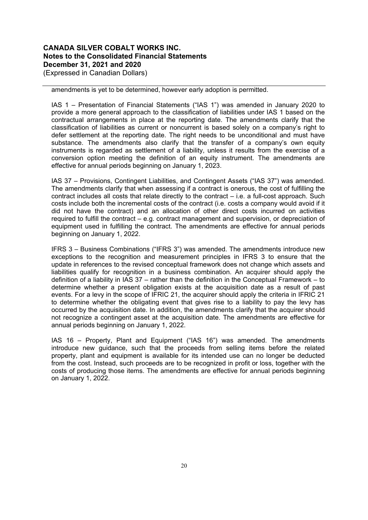(Expressed in Canadian Dollars)

amendments is yet to be determined, however early adoption is permitted.

IAS 1 – Presentation of Financial Statements ("IAS 1") was amended in January 2020 to provide a more general approach to the classification of liabilities under IAS 1 based on the contractual arrangements in place at the reporting date. The amendments clarify that the classification of liabilities as current or noncurrent is based solely on a company's right to defer settlement at the reporting date. The right needs to be unconditional and must have substance. The amendments also clarify that the transfer of a company's own equity instruments is regarded as settlement of a liability, unless it results from the exercise of a conversion option meeting the definition of an equity instrument. The amendments are effective for annual periods beginning on January 1, 2023.

IAS 37 – Provisions, Contingent Liabilities, and Contingent Assets ("IAS 37") was amended. The amendments clarify that when assessing if a contract is onerous, the cost of fulfilling the contract includes all costs that relate directly to the contract – i.e. a full-cost approach. Such costs include both the incremental costs of the contract (i.e. costs a company would avoid if it did not have the contract) and an allocation of other direct costs incurred on activities required to fulfill the contract – e.g. contract management and supervision, or depreciation of equipment used in fulfilling the contract. The amendments are effective for annual periods beginning on January 1, 2022.

IFRS 3 – Business Combinations ("IFRS 3") was amended. The amendments introduce new exceptions to the recognition and measurement principles in IFRS 3 to ensure that the update in references to the revised conceptual framework does not change which assets and liabilities qualify for recognition in a business combination. An acquirer should apply the definition of a liability in IAS 37 – rather than the definition in the Conceptual Framework – to determine whether a present obligation exists at the acquisition date as a result of past events. For a levy in the scope of IFRIC 21, the acquirer should apply the criteria in IFRIC 21 to determine whether the obligating event that gives rise to a liability to pay the levy has occurred by the acquisition date. In addition, the amendments clarify that the acquirer should not recognize a contingent asset at the acquisition date. The amendments are effective for annual periods beginning on January 1, 2022.

IAS 16 – Property, Plant and Equipment ("IAS 16") was amended. The amendments introduce new guidance, such that the proceeds from selling items before the related property, plant and equipment is available for its intended use can no longer be deducted from the cost. Instead, such proceeds are to be recognized in profit or loss, together with the costs of producing those items. The amendments are effective for annual periods beginning on January 1, 2022.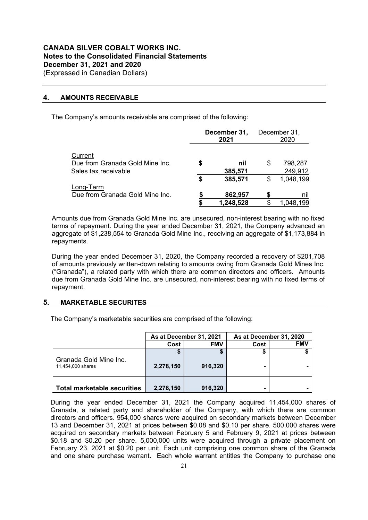## **4. AMOUNTS RECEIVABLE**

The Company's amounts receivable are comprised of the following:

|                                                                    |    | December 31,<br>2021 |   | December 31,<br>2020 |  |
|--------------------------------------------------------------------|----|----------------------|---|----------------------|--|
| Current<br>Due from Granada Gold Mine Inc.<br>Sales tax receivable | S  | nil<br>385,571       | S | 798,287<br>249,912   |  |
| Long-Term                                                          | \$ | 385,571              | S | 1,048,199            |  |
| Due from Granada Gold Mine Inc.                                    |    | 862,957              |   | nil                  |  |
|                                                                    |    | 1,248,528            |   | 1,048,199            |  |

Amounts due from Granada Gold Mine Inc. are unsecured, non-interest bearing with no fixed terms of repayment. During the year ended December 31, 2021, the Company advanced an aggregate of \$1,238,554 to Granada Gold Mine Inc., receiving an aggregate of \$1,173,884 in repayments.

During the year ended December 31, 2020, the Company recorded a recovery of \$201,708 of amounts previously written-down relating to amounts owing from Granada Gold Mines Inc. ("Granada"), a related party with which there are common directors and officers. Amounts due from Granada Gold Mine Inc. are unsecured, non-interest bearing with no fixed terms of repayment.

#### **5. MARKETABLE SECURITES**

The Company's marketable securities are comprised of the following:

|                                             |           | As at December 31, 2021 | As at December 31, 2020 |            |  |
|---------------------------------------------|-----------|-------------------------|-------------------------|------------|--|
|                                             | Cost      | <b>FMV</b>              | Cost                    | <b>FMV</b> |  |
|                                             | \$        |                         |                         |            |  |
| Granada Gold Mine Inc.<br>11,454,000 shares | 2,278,150 | 916,320                 |                         |            |  |
| <b>Total marketable securities</b>          | 2,278,150 | 916,320                 |                         |            |  |

During the year ended December 31, 2021 the Company acquired 11,454,000 shares of Granada, a related party and shareholder of the Company, with which there are common directors and officers. 954,000 shares were acquired on secondary markets between December 13 and December 31, 2021 at prices between \$0.08 and \$0.10 per share. 500,000 shares were acquired on secondary markets between February 5 and February 9, 2021 at prices between \$0.18 and \$0.20 per share. 5,000,000 units were acquired through a private placement on February 23, 2021 at \$0.20 per unit. Each unit comprising one common share of the Granada and one share purchase warrant. Each whole warrant entitles the Company to purchase one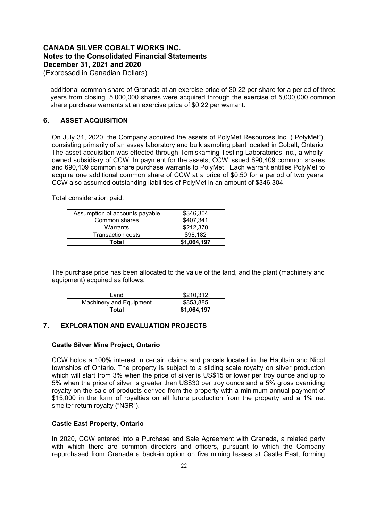(Expressed in Canadian Dollars)

additional common share of Granada at an exercise price of \$0.22 per share for a period of three years from closing. 5,000,000 shares were acquired through the exercise of 5,000,000 common share purchase warrants at an exercise price of \$0.22 per warrant.

## **6. ASSET ACQUISITION**

On July 31, 2020, the Company acquired the assets of PolyMet Resources Inc. ("PolyMet"), consisting primarily of an assay laboratory and bulk sampling plant located in Cobalt, Ontario. The asset acquisition was effected through Temiskaming Testing Laboratories Inc., a whollyowned subsidiary of CCW. In payment for the assets, CCW issued 690,409 common shares and 690,409 common share purchase warrants to PolyMet. Each warrant entitles PolyMet to acquire one additional common share of CCW at a price of \$0.50 for a period of two years. CCW also assumed outstanding liabilities of PolyMet in an amount of \$346,304.

Total consideration paid:

| Assumption of accounts payable | \$346,304   |
|--------------------------------|-------------|
| Common shares                  | \$407,341   |
| Warrants                       | \$212,370   |
| <b>Transaction costs</b>       | \$98,182    |
| Total                          | \$1,064,197 |

The purchase price has been allocated to the value of the land, and the plant (machinery and equipment) acquired as follows:

| Land                    | \$210,312   |
|-------------------------|-------------|
| Machinery and Equipment | \$853,885   |
| Total                   | \$1,064,197 |

#### **7. EXPLORATION AND EVALUATION PROJECTS**

#### **Castle Silver Mine Project, Ontario**

CCW holds a 100% interest in certain claims and parcels located in the Haultain and Nicol townships of Ontario. The property is subject to a sliding scale royalty on silver production which will start from 3% when the price of silver is US\$15 or lower per troy ounce and up to 5% when the price of silver is greater than US\$30 per troy ounce and a 5% gross overriding royalty on the sale of products derived from the property with a minimum annual payment of \$15,000 in the form of royalties on all future production from the property and a 1% net smelter return royalty ("NSR").

#### **Castle East Property, Ontario**

In 2020, CCW entered into a Purchase and Sale Agreement with Granada, a related party with which there are common directors and officers, pursuant to which the Company repurchased from Granada a back-in option on five mining leases at Castle East, forming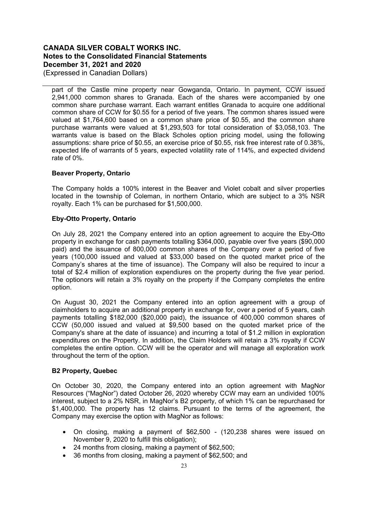(Expressed in Canadian Dollars)

part of the Castle mine property near Gowganda, Ontario. In payment, CCW issued 2,941,000 common shares to Granada. Each of the shares were accompanied by one common share purchase warrant. Each warrant entitles Granada to acquire one additional common share of CCW for \$0.55 for a period of five years. The common shares issued were valued at \$1,764,600 based on a common share price of \$0.55, and the common share purchase warrants were valued at \$1,293,503 for total consideration of \$3,058,103. The warrants value is based on the Black Scholes option pricing model, using the following assumptions: share price of \$0.55, an exercise price of \$0.55, risk free interest rate of 0.38%, expected life of warrants of 5 years, expected volatility rate of 114%, and expected dividend rate of 0%.

#### **Beaver Property, Ontario**

The Company holds a 100% interest in the Beaver and Violet cobalt and silver properties located in the township of Coleman, in northern Ontario, which are subject to a 3% NSR royalty. Each 1% can be purchased for \$1,500,000.

#### **Eby-Otto Property, Ontario**

On July 28, 2021 the Company entered into an option agreement to acquire the Eby-Otto property in exchange for cash payments totalling \$364,000, payable over five years (\$90,000 paid) and the issuance of 800,000 common shares of the Company over a period of five years (100,000 issued and valued at \$33,000 based on the quoted market price of the Company's shares at the time of issuance). The Company will also be required to incur a total of \$2.4 million of exploration expendiures on the property during the five year period. The optionors will retain a 3% royalty on the property if the Company completes the entire option.

On August 30, 2021 the Company entered into an option agreement with a group of claimholders to acquire an additional property in exchange for, over a period of 5 years, cash payments totalling \$182,000 (\$20,000 paid), the issuance of 400,000 common shares of CCW (50,000 issued and valued at \$9,500 based on the quoted market price of the Company's share at the date of issuance) and incurring a total of \$1.2 million in exploration expenditures on the Property. In addition, the Claim Holders will retain a 3% royalty if CCW completes the entire option. CCW will be the operator and will manage all exploration work throughout the term of the option.

#### **B2 Property, Quebec**

On October 30, 2020, the Company entered into an option agreement with MagNor Resources ("MagNor") dated October 26, 2020 whereby CCW may earn an undivided 100% interest, subject to a 2% NSR, in MagNor's B2 property, of which 1% can be repurchased for \$1,400,000. The property has 12 claims. Pursuant to the terms of the agreement, the Company may exercise the option with MagNor as follows:

- On closing, making a payment of \$62,500 (120,238 shares were issued on November 9, 2020 to fulfill this obligation);
- 24 months from closing, making a payment of \$62,500;
- 36 months from closing, making a payment of \$62,500; and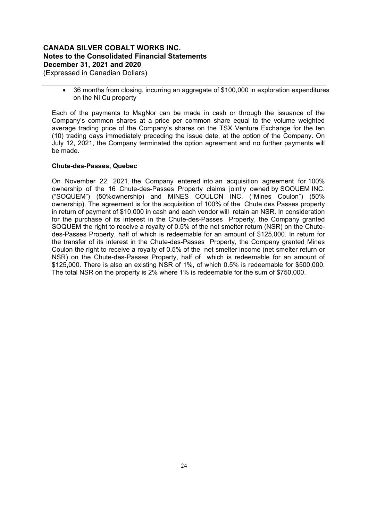(Expressed in Canadian Dollars)

• 36 months from closing, incurring an aggregate of \$100,000 in exploration expenditures on the Ni Cu property

Each of the payments to MagNor can be made in cash or through the issuance of the Company's common shares at a price per common share equal to the volume weighted average trading price of the Company's shares on the TSX Venture Exchange for the ten (10) trading days immediately preceding the issue date, at the option of the Company. On July 12, 2021, the Company terminated the option agreement and no further payments will be made.

#### **Chute-des-Passes, Quebec**

On November 22, 2021, the Company entered into an acquisition agreement for 100% ownership of the 16 Chute-des-Passes Property claims jointly owned by SOQUEM INC. ("SOQUEM") (50%ownership) and MINES COULON INC. ("Mines Coulon") (50% ownership). The agreement is for the acquisition of 100% of the Chute des Passes property in return of payment of \$10,000 in cash and each vendor will retain an NSR. In consideration for the purchase of its interest in the Chute-des-Passes Property, the Company granted SOQUEM the right to receive a royalty of 0.5% of the net smelter return (NSR) on the Chutedes-Passes Property, half of which is redeemable for an amount of \$125,000. In return for the transfer of its interest in the Chute-des-Passes Property, the Company granted Mines Coulon the right to receive a royalty of 0.5% of the net smelter income (net smelter return or NSR) on the Chute-des-Passes Property, half of which is redeemable for an amount of \$125,000. There is also an existing NSR of 1%, of which 0.5% is redeemable for \$500,000. The total NSR on the property is 2% where 1% is redeemable for the sum of \$750,000.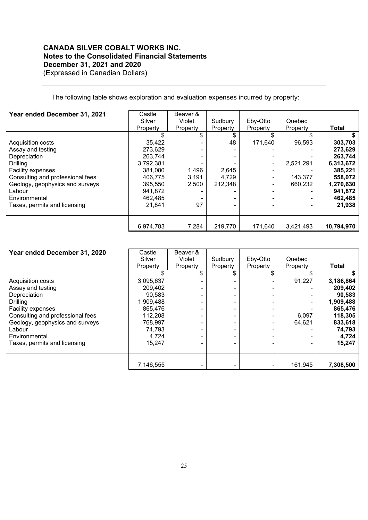(Expressed in Canadian Dollars)

J.

The following table shows exploration and evaluation expenses incurred by property:

| Year ended December 31, 2021     | Castle    | Beaver & |          |                          |           |              |
|----------------------------------|-----------|----------|----------|--------------------------|-----------|--------------|
|                                  | Silver    | Violet   | Sudbury  | Eby-Otto                 | Quebec    |              |
|                                  | Property  | Property | Property | Property                 | Property  | <b>Total</b> |
|                                  |           |          |          | \$                       |           |              |
| <b>Acquisition costs</b>         | 35,422    |          | 48       | 171,640                  | 96,593    | 303,703      |
| Assay and testing                | 273.629   |          |          |                          |           | 273,629      |
| Depreciation                     | 263.744   |          |          |                          |           | 263,744      |
| <b>Drilling</b>                  | 3,792,381 |          |          | $\overline{\phantom{a}}$ | 2,521,291 | 6,313,672    |
| <b>Facility expenses</b>         | 381,080   | 1,496    | 2,645    | -                        |           | 385,221      |
| Consulting and professional fees | 406,775   | 3,191    | 4,729    |                          | 143,377   | 558,072      |
| Geology, geophysics and surveys  | 395,550   | 2,500    | 212,348  |                          | 660,232   | 1,270,630    |
| Labour                           | 941,872   |          |          |                          |           | 941,872      |
| Environmental                    | 462,485   |          |          |                          |           | 462,485      |
| Taxes, permits and licensing     | 21,841    | 97       |          |                          |           | 21,938       |
|                                  |           |          |          |                          |           |              |
|                                  |           |          |          |                          |           |              |
|                                  | 6,974,783 | 7,284    | 219,770  | 171,640                  | 3,421,493 | 10,794,970   |

| Castle    | Beaver &  |          |          |          |              |
|-----------|-----------|----------|----------|----------|--------------|
| Silver    | Violet    | Sudbury  | Eby-Otto | Quebec   |              |
| Property  | Property  | Property | Property | Property | <b>Total</b> |
|           | \$        | \$       | \$       |          |              |
| 3,095,637 |           |          |          | 91,227   | 3,186,864    |
| 209,402   |           |          |          |          | 209,402      |
| 90,583    |           |          |          |          | 90,583       |
| 1,909,488 |           |          |          |          | 1,909,488    |
| 865,476   |           |          |          |          | 865,476      |
| 112.208   |           |          |          | 6,097    | 118,305      |
| 768,997   |           |          |          | 64,621   | 833,618      |
| 74,793    |           |          |          |          | 74,793       |
| 4,724     |           |          |          |          | 4,724        |
| 15,247    |           |          |          |          | 15,247       |
|           |           |          |          |          | 7,308,500    |
|           | 7,146,555 |          |          |          | 161,945      |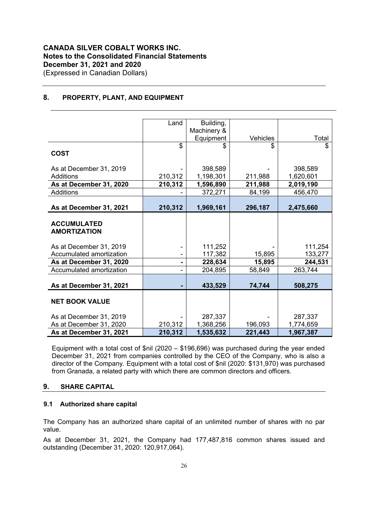## **8. PROPERTY, PLANT, AND EQUIPMENT**

|                          | Land    | Building,   |          |           |
|--------------------------|---------|-------------|----------|-----------|
|                          |         | Machinery & |          |           |
|                          |         | Equipment   | Vehicles | Total     |
|                          | \$      | \$          |          | \$        |
| <b>COST</b>              |         |             |          |           |
|                          |         |             |          |           |
| As at December 31, 2019  |         | 398,589     |          | 398,589   |
| Additions                | 210,312 | 1,198,301   | 211,988  | 1,620,601 |
| As at December 31, 2020  | 210,312 | 1,596,890   | 211,988  | 2,019,190 |
| Additions                |         | 372,271     | 84,199   | 456,470   |
|                          |         |             |          |           |
| As at December 31, 2021  | 210,312 | 1,969,161   | 296,187  | 2,475,660 |
|                          |         |             |          |           |
| <b>ACCUMULATED</b>       |         |             |          |           |
| <b>AMORTIZATION</b>      |         |             |          |           |
|                          |         |             |          |           |
| As at December 31, 2019  |         | 111,252     |          | 111,254   |
| Accumulated amortization |         | 117,382     | 15,895   | 133,277   |
| As at December 31, 2020  |         | 228,634     | 15,895   | 244,531   |
| Accumulated amortization |         | 204,895     | 58,849   | 263,744   |
|                          |         |             |          |           |
|                          |         |             |          |           |
| As at December 31, 2021  |         | 433,529     | 74,744   | 508,275   |
|                          |         |             |          |           |
| <b>NET BOOK VALUE</b>    |         |             |          |           |
|                          |         |             |          |           |
| As at December 31, 2019  |         | 287,337     |          | 287,337   |
| As at December 31, 2020  | 210,312 | 1,368,256   | 196,093  | 1,774,659 |
| As at December 31, 2021  | 210,312 | 1,535,632   | 221,443  | 1,967,387 |

Equipment with a total cost of \$nil (2020 – \$196,696) was purchased during the year ended December 31, 2021 from companies controlled by the CEO of the Company, who is also a director of the Company. Equipment with a total cost of \$nil (2020: \$131,970) was purchased from Granada, a related party with which there are common directors and officers.

#### **9. SHARE CAPITAL**

#### **9.1 Authorized share capital**

The Company has an authorized share capital of an unlimited number of shares with no par value.

As at December 31, 2021, the Company had 177,487,816 common shares issued and outstanding (December 31, 2020: 120,917,064).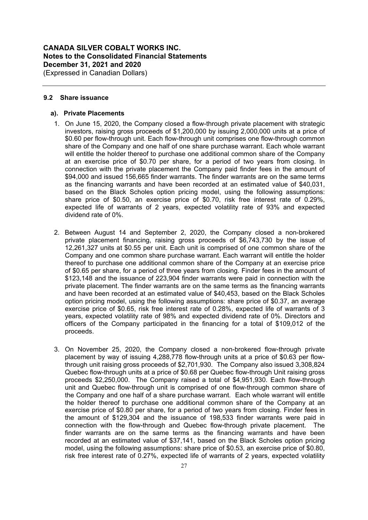(Expressed in Canadian Dollars)

#### **9.2 Share issuance**

#### **a). Private Placements**

- 1. On June 15, 2020, the Company closed a flow-through private placement with strategic investors, raising gross proceeds of \$1,200,000 by issuing 2,000,000 units at a price of \$0.60 per flow-through unit. Each flow-through unit comprises one flow-through common share of the Company and one half of one share purchase warrant. Each whole warrant will entitle the holder thereof to purchase one additional common share of the Company at an exercise price of \$0.70 per share, for a period of two years from closing. In connection with the private placement the Company paid finder fees in the amount of \$94,000 and issued 156,665 finder warrants. The finder warrants are on the same terms as the financing warrants and have been recorded at an estimated value of \$40,031, based on the Black Scholes option pricing model, using the following assumptions: share price of \$0.50, an exercise price of \$0.70, risk free interest rate of 0.29%, expected life of warrants of 2 years, expected volatility rate of 93% and expected dividend rate of 0%.
- 2. Between August 14 and September 2, 2020, the Company closed a non-brokered private placement financing, raising gross proceeds of \$6,743,730 by the issue of 12,261,327 units at \$0.55 per unit. Each unit is comprised of one common share of the Company and one common share purchase warrant. Each warrant will entitle the holder thereof to purchase one additional common share of the Company at an exercise price of \$0.65 per share, for a period of three years from closing. Finder fees in the amount of \$123,148 and the issuance of 223,904 finder warrants were paid in connection with the private placement. The finder warrants are on the same terms as the financing warrants and have been recorded at an estimated value of \$40,453, based on the Black Scholes option pricing model, using the following assumptions: share price of \$0.37, an average exercise price of \$0.65, risk free interest rate of 0.28%, expected life of warrants of 3 years, expected volatility rate of 98% and expected dividend rate of 0%. Directors and officers of the Company participated in the financing for a total of \$109,012 of the proceeds.
- 3. On November 25, 2020, the Company closed a non-brokered flow-through private placement by way of issuing 4,288,778 flow-through units at a price of \$0.63 per flowthrough unit raising gross proceeds of \$2,701,930. The Company also issued 3,308,824 Quebec flow-through units at a price of \$0.68 per Quebec flow-through Unit raising gross proceeds \$2,250,000. The Company raised a total of \$4,951,930. Each flow-through unit and Quebec flow-through unit is comprised of one flow-through common share of the Company and one half of a share purchase warrant. Each whole warrant will entitle the holder thereof to purchase one additional common share of the Company at an exercise price of \$0.80 per share, for a period of two years from closing. Finder fees in the amount of \$129,304 and the issuance of 198,533 finder warrants were paid in connection with the flow-through and Quebec flow-through private placement. The finder warrants are on the same terms as the financing warrants and have been recorded at an estimated value of \$37,141, based on the Black Scholes option pricing model, using the following assumptions: share price of \$0.53, an exercise price of \$0.80, risk free interest rate of 0.27%, expected life of warrants of 2 years, expected volatility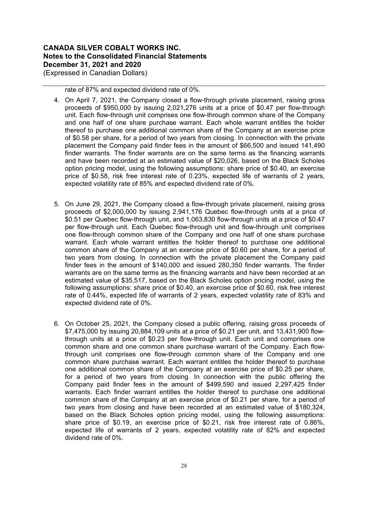(Expressed in Canadian Dollars)

rate of 87% and expected dividend rate of 0%.

- 4. On April 7, 2021, the Company closed a flow-through private placement, raising gross proceeds of \$950,000 by issuing 2,021,276 units at a price of \$0.47 per flow-through unit. Each flow-through unit comprises one flow-through common share of the Company and one half of one share purchase warrant. Each whole warrant entitles the holder thereof to purchase one additional common share of the Company at an exercise price of \$0.58 per share, for a period of two years from closing. In connection with the private placement the Company paid finder fees in the amount of \$66,500 and issued 141,490 finder warrants. The finder warrants are on the same terms as the financing warrants and have been recorded at an estimated value of \$20,026, based on the Black Scholes option pricing model, using the following assumptions: share price of \$0.40, an exercise price of \$0.58, risk free interest rate of 0.23%, expected life of warrants of 2 years, expected volatility rate of 85% and expected dividend rate of 0%.
- 5. On June 29, 2021, the Company closed a flow-through private placement, raising gross proceeds of \$2,000,000 by issuing 2,941,176 Quebec flow-through units at a price of \$0.51 per Quebec flow-through unit, and 1,063,830 flow-through units at a price of \$0.47 per flow-through unit. Each Quebec flow-through unit and flow-through unit comprises one flow-through common share of the Company and one half of one share purchase warrant. Each whole warrant entitles the holder thereof to purchase one additional common share of the Company at an exercise price of \$0.60 per share, for a period of two years from closing. In connection with the private placement the Company paid finder fees in the amount of \$140,000 and issued 280,350 finder warrants. The finder warrants are on the same terms as the financing warrants and have been recorded at an estimated value of \$35,517, based on the Black Scholes option pricing model, using the following assumptions: share price of \$0.40, an exercise price of \$0.60, risk free interest rate of 0.44%, expected life of warrants of 2 years, expected volatility rate of 83% and expected dividend rate of 0%.
- 6. On October 25, 2021, the Company closed a public offering, raising gross proceeds of \$7,475,000 by issuing 20,884,109 units at a price of \$0.21 per unit, and 13,431,900 flowthrough units at a price of \$0.23 per flow-through unit. Each unit and comprises one common share and one common share purchase warrant of the Company. Each flowthrough unit comprises one flow-through common share of the Company and one common share purchase warrant. Each warrant entitles the holder thereof to purchase one additional common share of the Company at an exercise price of \$0.25 per share, for a period of two years from closing. In connection with the public offering the Company paid finder fees in the amount of \$499,590 and issued 2,297,425 finder warrants. Each finder warrant entitles the holder thereof to purchase one additional common share of the Company at an exercise price of \$0.21 per share, for a period of two years from closing and have been recorded at an estimated value of \$180,324, based on the Black Scholes option pricing model, using the following assumptions: share price of \$0.19, an exercise price of \$0.21, risk free interest rate of 0.86%, expected life of warrants of 2 years, expected volatility rate of 82% and expected dividend rate of 0%.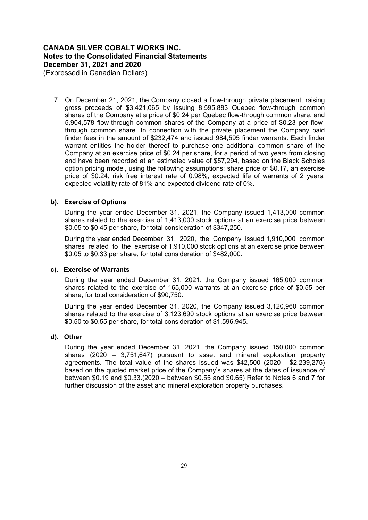(Expressed in Canadian Dollars)

7. On December 21, 2021, the Company closed a flow-through private placement, raising gross proceeds of \$3,421,065 by issuing 8,595,883 Quebec flow-through common shares of the Company at a price of \$0.24 per Quebec flow-through common share, and 5,904,578 flow-through common shares of the Company at a price of \$0.23 per flowthrough common share. In connection with the private placement the Company paid finder fees in the amount of \$232,474 and issued 984,595 finder warrants. Each finder warrant entitles the holder thereof to purchase one additional common share of the Company at an exercise price of \$0.24 per share, for a period of two years from closing and have been recorded at an estimated value of \$57,294, based on the Black Scholes option pricing model, using the following assumptions: share price of \$0.17, an exercise price of \$0.24, risk free interest rate of 0.98%, expected life of warrants of 2 years, expected volatility rate of 81% and expected dividend rate of 0%.

## **b). Exercise of Options**

During the year ended December 31, 2021, the Company issued 1,413,000 common shares related to the exercise of 1,413,000 stock options at an exercise price between \$0.05 to \$0.45 per share, for total consideration of \$347,250.

During the year ended December 31, 2020, the Company issued 1,910,000 common shares related to the exercise of 1,910,000 stock options at an exercise price between \$0.05 to \$0.33 per share, for total consideration of \$482,000.

#### **c). Exercise of Warrants**

During the year ended December 31, 2021, the Company issued 165,000 common shares related to the exercise of 165,000 warrants at an exercise price of \$0.55 per share, for total consideration of \$90,750.

During the year ended December 31, 2020, the Company issued 3,120,960 common shares related to the exercise of 3,123,690 stock options at an exercise price between \$0.50 to \$0.55 per share, for total consideration of \$1,596,945.

## **d). Other**

During the year ended December 31, 2021, the Company issued 150,000 common shares (2020 – 3,751,647) pursuant to asset and mineral exploration property agreements. The total value of the shares issued was \$42,500 (2020 - \$2,239,275) based on the quoted market price of the Company's shares at the dates of issuance of between \$0.19 and \$0.33.(2020 – between \$0.55 and \$0.65) Refer to Notes 6 and 7 for further discussion of the asset and mineral exploration property purchases.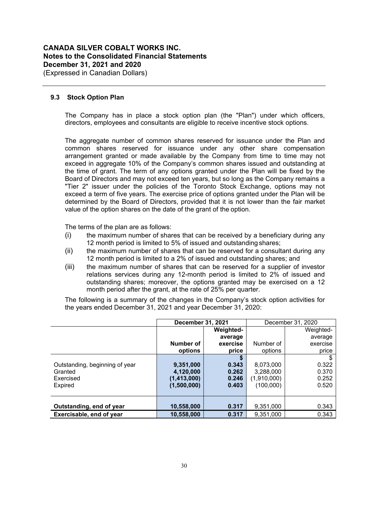(Expressed in Canadian Dollars)

#### **9.3 Stock Option Plan**

The Company has in place a stock option plan (the "Plan") under which officers, directors, employees and consultants are eligible to receive incentive stock options.

The aggregate number of common shares reserved for issuance under the Plan and common shares reserved for issuance under any other share compensation arrangement granted or made available by the Company from time to time may not exceed in aggregate 10% of the Company's common shares issued and outstanding at the time of grant. The term of any options granted under the Plan will be fixed by the Board of Directors and may not exceed ten years, but so long as the Company remains a "Tier 2" issuer under the policies of the Toronto Stock Exchange, options may not exceed a term of five years. The exercise price of options granted under the Plan will be determined by the Board of Directors, provided that it is not lower than the fair market value of the option shares on the date of the grant of the option.

The terms of the plan are as follows:

- (i) the maximum number of shares that can be received by a beneficiary during any 12 month period is limited to 5% of issued and outstanding shares;
- (ii) the maximum number of shares that can be reserved for a consultant during any 12 month period is limited to a 2% of issued and outstanding shares; and
- (iii) the maximum number of shares that can be reserved for a supplier of investor relations services during any 12-month period is limited to 2% of issued and outstanding shares; moreover, the options granted may be exercised on a 12 month period after the grant, at the rate of 25% per quarter.

The following is a summary of the changes in the Company's stock option activities for the years ended December 31, 2021 and year December 31, 2020:

|                                | December 31, 2021 |                  |             | December 31, 2020 |
|--------------------------------|-------------------|------------------|-------------|-------------------|
|                                |                   | <b>Weighted-</b> |             | Weighted-         |
|                                |                   | average          |             | average           |
|                                | Number of         | exercise         | Number of   | exercise          |
|                                | options           | price            | options     | price             |
|                                |                   |                  |             | \$                |
| Outstanding, beginning of year | 9,351,000         | 0.343            | 8,073,000   | 0.322             |
| Granted                        | 4,120,000         | 0.262            | 3,288,000   | 0.370             |
| Exercised                      | (1,413,000)       | 0.246            | (1,910,000) | 0.252             |
| <b>Expired</b>                 | (1,500,000)       | 0.403            | (100,000)   | 0.520             |
|                                |                   |                  |             |                   |
|                                |                   |                  |             |                   |
| Outstanding, end of year       | 10,558,000        | 0.317            | 9,351,000   | 0.343             |
| Exercisable, end of year       | 10,558,000        | 0.317            | 9,351,000   | 0.343             |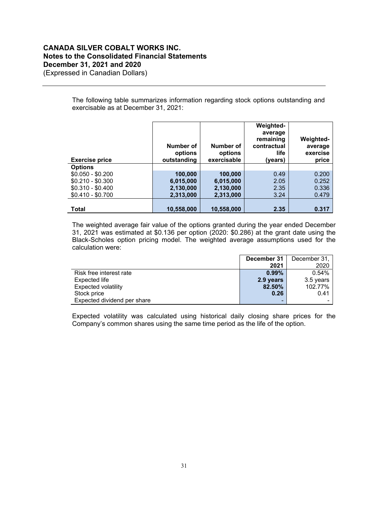(Expressed in Canadian Dollars)

The following table summarizes information regarding stock options outstanding and exercisable as at December 31, 2021:

| <b>Exercise price</b> | Number of<br>options<br>outstanding | Number of<br>options<br>exercisable | Weighted-<br>average<br>remaining<br>contractual<br>life<br>(vears) | <b>Weighted-</b><br>average<br>exercise<br>price |
|-----------------------|-------------------------------------|-------------------------------------|---------------------------------------------------------------------|--------------------------------------------------|
| <b>Options</b>        |                                     |                                     |                                                                     |                                                  |
| $$0.050 - $0.200$     | 100,000                             | 100,000                             | 0.49                                                                | 0.200                                            |
| $$0.210 - $0.300$     | 6,015,000                           | 6,015,000                           | 2.05                                                                | 0.252                                            |
| $$0.310 - $0.400$     | 2,130,000                           | 2,130,000                           | 2.35                                                                | 0.336                                            |
| $$0.410 - $0.700$     | 2.313.000                           | 2.313.000                           | 3.24                                                                | 0.479                                            |
| Total                 | 10,558,000                          | 10,558,000                          | 2.35                                                                | 0.317                                            |

The weighted average fair value of the options granted during the year ended December 31, 2021 was estimated at \$0.136 per option (2020: \$0.286) at the grant date using the Black-Scholes option pricing model. The weighted average assumptions used for the calculation were:

|                             | December 31 | December 31, |
|-----------------------------|-------------|--------------|
|                             | 2021        | 2020         |
| Risk free interest rate     | $0.99\%$    | 0.54%        |
| Expected life               | 2.9 years   | 3.5 years    |
| <b>Expected volatility</b>  | 82.50%      | 102.77%      |
| Stock price                 | 0.26        | 0.41         |
| Expected dividend per share | -           |              |

Expected volatility was calculated using historical daily closing share prices for the Company's common shares using the same time period as the life of the option.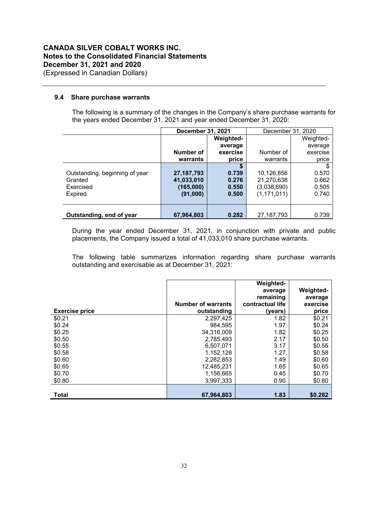## **9.4 Share purchase warrants**

The following is a summary of the changes in the Company's share purchase warrants for the years ended December 31, 2021 and year ended December 31, 2020:

|                                | December 31, 2021 |          | December 31, 2020 |           |  |
|--------------------------------|-------------------|----------|-------------------|-----------|--|
|                                | Weighted-         |          |                   | Weighted- |  |
|                                |                   | average  |                   | average   |  |
|                                | Number of         | exercise | Number of         | exercise  |  |
|                                | warrants          | price    | warrants          | price     |  |
|                                |                   | S        |                   |           |  |
| Outstanding, beginning of year | 27, 187, 793      | 0.739    | 10,126,856        | 0.570     |  |
| Granted                        | 41,033,010        | 0.276    | 21,270,638        | 0.662     |  |
| Exercised                      | (165,000)         | 0.550    | (3,038,690)       | 0.505     |  |
| <b>Expired</b>                 | (91,000)          | 0.500    | (1, 171, 011)     | 0.740     |  |
|                                |                   |          |                   |           |  |
|                                |                   |          |                   |           |  |
| Outstanding, end of year       | 67,964,803        | 0.282    | 27, 187, 793      | 0.739     |  |

During the year ended December 31, 2021, in conjunction with private and public placements, the Company issued a total of 41,033,010 share purchase warrants.

The following table summarizes information regarding share purchase warrants outstanding and exercisable as at December 31, 2021:

|                       |                           | <b>Weighted-</b> |                  |
|-----------------------|---------------------------|------------------|------------------|
|                       |                           | average          | <b>Weighted-</b> |
|                       |                           | remaining        | average          |
|                       | <b>Number of warrants</b> | contractual life | exercise         |
| <b>Exercise price</b> | outstanding               | (years)          | price            |
| \$0.21                | 2,297,425                 | 1.82             | \$0.21           |
| \$0.24                | 984.595                   | 1.97             | \$0.24           |
| \$0.25                | 34,316,009                | 1.82             | \$0.25           |
| \$0.50                | 2,785,493                 | 2.17             | \$0.50           |
| \$0.55                | 6,507,071                 | 3.17             | \$0.55           |
| \$0.58                | 1.152.128                 | 1.27             | \$0.58           |
| \$0.60                | 2,282,853                 | 1.49             | \$0.60           |
| \$0.65                | 12,485,231                | 1.65             | \$0.65           |
| \$0.70                | 1,156,665                 | 0.45             | \$0.70           |
| \$0.80                | 3,997,333                 | 0.90             | \$0.80           |
|                       |                           |                  |                  |
| <b>Total</b>          | 67,964,803                | 1.83             | \$0.282          |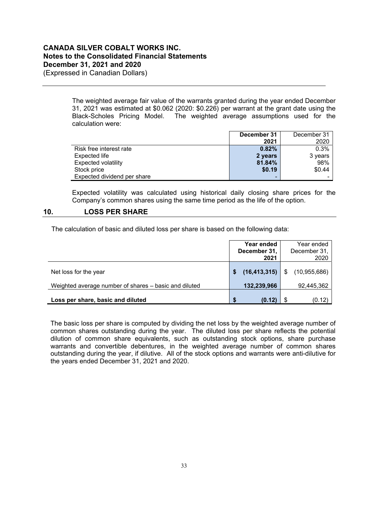(Expressed in Canadian Dollars)

The weighted average fair value of the warrants granted during the year ended December 31, 2021 was estimated at \$0.062 (2020: \$0.226) per warrant at the grant date using the Black-Scholes Pricing Model. The weighted average assumptions used for the calculation were:

|                             | December 31 | December 31 |
|-----------------------------|-------------|-------------|
|                             | 2021        | 2020        |
| Risk free interest rate     | 0.82%       | 0.3%        |
| Expected life               | 2 years     | 3 years     |
| <b>Expected volatility</b>  | 81.84%      | 98%         |
| Stock price                 | \$0.19      | \$0.44      |
| Expected dividend per share | -           |             |

Expected volatility was calculated using historical daily closing share prices for the Company's common shares using the same time period as the life of the option.

#### **10. LOSS PER SHARE**

The calculation of basic and diluted loss per share is based on the following data:

|                                                       |    | Year ended<br>December 31,<br>2021 | Year ended<br>December 31,<br>2020 |
|-------------------------------------------------------|----|------------------------------------|------------------------------------|
| Net loss for the year                                 | S. | (16, 413, 315)                     | \$<br>(10, 955, 686)               |
| Weighted average number of shares – basic and diluted |    | 132,239,966                        | 92,445,362                         |
| Loss per share, basic and diluted                     |    | (0.12)                             | (0.12)                             |

The basic loss per share is computed by dividing the net loss by the weighted average number of common shares outstanding during the year. The diluted loss per share reflects the potential dilution of common share equivalents, such as outstanding stock options, share purchase warrants and convertible debentures, in the weighted average number of common shares outstanding during the year, if dilutive. All of the stock options and warrants were anti-dilutive for the years ended December 31, 2021 and 2020.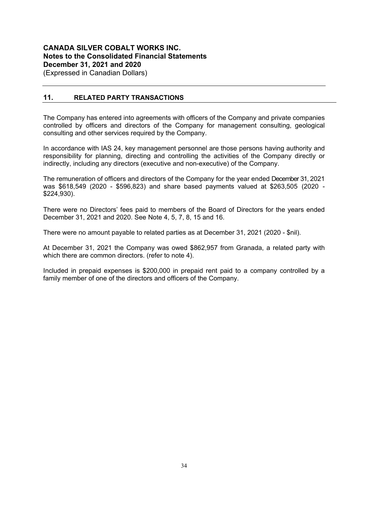(Expressed in Canadian Dollars)

## **11. RELATED PARTY TRANSACTIONS**

The Company has entered into agreements with officers of the Company and private companies controlled by officers and directors of the Company for management consulting, geological consulting and other services required by the Company.

In accordance with IAS 24, key management personnel are those persons having authority and responsibility for planning, directing and controlling the activities of the Company directly or indirectly, including any directors (executive and non-executive) of the Company.

The remuneration of officers and directors of the Company for the year ended December 31, 2021 was \$618,549 (2020 - \$596,823) and share based payments valued at \$263,505 (2020 - \$224,930).

There were no Directors' fees paid to members of the Board of Directors for the years ended December 31, 2021 and 2020. See Note 4, 5, 7, 8, 15 and 16.

There were no amount payable to related parties as at December 31, 2021 (2020 - \$nil).

At December 31, 2021 the Company was owed \$862,957 from Granada, a related party with which there are common directors. (refer to note 4).

Included in prepaid expenses is \$200,000 in prepaid rent paid to a company controlled by a family member of one of the directors and officers of the Company.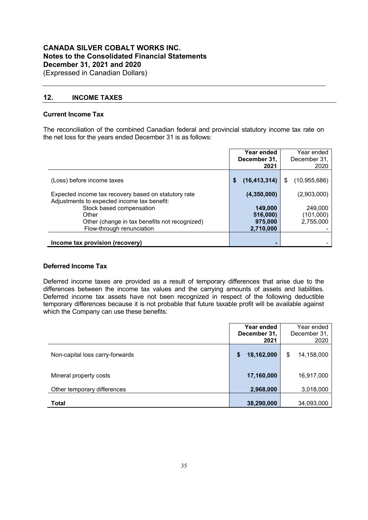(Expressed in Canadian Dollars)

## **12. INCOME TAXES**

#### **Current Income Tax**

The reconciliation of the combined Canadian federal and provincial statutory income tax rate on the net loss for the years ended December 31 is as follows:

|                                                                         |   | Year ended<br>December 31,<br>2021 | Year ended<br>December 31,<br>2020 |
|-------------------------------------------------------------------------|---|------------------------------------|------------------------------------|
| (Loss) before income taxes                                              | S | (16, 413, 314)                     | \$<br>(10, 955, 686)               |
| Expected income tax recovery based on statutory rate                    |   | (4,350,000)                        | (2,903,000)                        |
| Adjustments to expected income tax benefit:<br>Stock based compensation |   | 149,000                            | 249,000                            |
| Other                                                                   |   | 516,000)                           | (101,000)                          |
| Other (change in tax benefits not recognized)                           |   | 975,000                            | 2,755,000                          |
| Flow-through renunciation                                               |   | 2,710,000                          |                                    |
| Income tax provision (recovery)                                         |   |                                    |                                    |

#### **Deferred Income Tax**

Deferred income taxes are provided as a result of temporary differences that arise due to the differences between the income tax values and the carrying amounts of assets and liabilities. Deferred income tax assets have not been recognized in respect of the following deductible temporary differences because it is not probable that future taxable profit will be available against which the Company can use these benefits:

|                                 | Year ended<br>December 31,<br>2021 | Year ended<br>December 31,<br>2020 |
|---------------------------------|------------------------------------|------------------------------------|
| Non-capital loss carry-forwards | 18,162,000<br>\$                   | 14,158,000<br>\$                   |
| Mineral property costs          | 17,160,000                         | 16,917,000                         |
| Other temporary differences     | 2,968,000                          | 3,018,000                          |
| Total                           | 38,290,000                         | 34,093,000                         |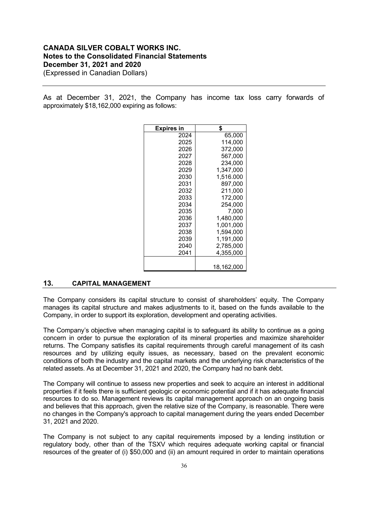(Expressed in Canadian Dollars)

As at December 31, 2021, the Company has income tax loss carry forwards of approximately \$18,162,000 expiring as follows:

|      | <b>Expires in</b> | \$         |
|------|-------------------|------------|
|      | 2024              | 65,000     |
|      | 2025              | 114,000    |
|      | 2026              | 372.000    |
|      | 2027              | 567,000    |
|      | 2028              | 234,000    |
|      | 2029              | 1,347,000  |
|      | 2030              | 1,516.000  |
|      | 2031              | 897,000    |
|      | 2032              | 211,000    |
|      | 2033              | 172,000    |
|      | 2034              | 254,000    |
| 2035 |                   | 7.000      |
|      | 2036              | 1,480,000  |
|      | 2037              | 1,001,000  |
|      | 2038              | 1.594.000  |
|      | 2039              | 1,191,000  |
|      | 2040              | 2,785,000  |
|      | 2041              | 4,355,000  |
|      |                   |            |
|      |                   | 18,162,000 |

#### **13. CAPITAL MANAGEMENT**

The Company considers its capital structure to consist of shareholders' equity. The Company manages its capital structure and makes adjustments to it, based on the funds available to the Company, in order to support its exploration, development and operating activities.

The Company's objective when managing capital is to safeguard its ability to continue as a going concern in order to pursue the exploration of its mineral properties and maximize shareholder returns. The Company satisfies its capital requirements through careful management of its cash resources and by utilizing equity issues, as necessary, based on the prevalent economic conditions of both the industry and the capital markets and the underlying risk characteristics of the related assets. As at December 31, 2021 and 2020, the Company had no bank debt.

The Company will continue to assess new properties and seek to acquire an interest in additional properties if it feels there is sufficient geologic or economic potential and if it has adequate financial resources to do so. Management reviews its capital management approach on an ongoing basis and believes that this approach, given the relative size of the Company, is reasonable. There were no changes in the Company's approach to capital management during the years ended December 31, 2021 and 2020.

The Company is not subject to any capital requirements imposed by a lending institution or regulatory body, other than of the TSXV which requires adequate working capital or financial resources of the greater of (i) \$50,000 and (ii) an amount required in order to maintain operations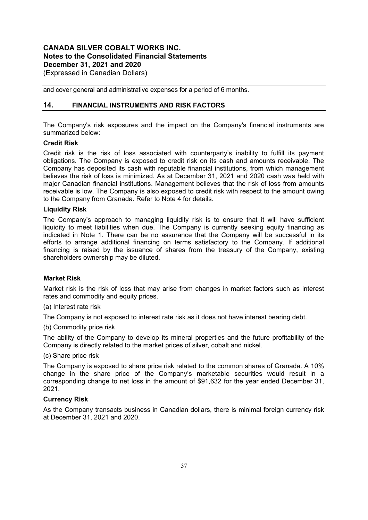(Expressed in Canadian Dollars)

and cover general and administrative expenses for a period of 6 months.

#### **14. FINANCIAL INSTRUMENTS AND RISK FACTORS**

The Company's risk exposures and the impact on the Company's financial instruments are summarized below:

#### **Credit Risk**

Credit risk is the risk of loss associated with counterparty's inability to fulfill its payment obligations. The Company is exposed to credit risk on its cash and amounts receivable. The Company has deposited its cash with reputable financial institutions, from which management believes the risk of loss is minimized. As at December 31, 2021 and 2020 cash was held with major Canadian financial institutions. Management believes that the risk of loss from amounts receivable is low. The Company is also exposed to credit risk with respect to the amount owing to the Company from Granada. Refer to Note 4 for details.

#### **Liquidity Risk**

The Company's approach to managing liquidity risk is to ensure that it will have sufficient liquidity to meet liabilities when due. The Company is currently seeking equity financing as indicated in Note 1. There can be no assurance that the Company will be successful in its efforts to arrange additional financing on terms satisfactory to the Company. If additional financing is raised by the issuance of shares from the treasury of the Company, existing shareholders ownership may be diluted.

#### **Market Risk**

Market risk is the risk of loss that may arise from changes in market factors such as interest rates and commodity and equity prices.

(a) Interest rate risk

The Company is not exposed to interest rate risk as it does not have interest bearing debt.

(b) Commodity price risk

The ability of the Company to develop its mineral properties and the future profitability of the Company is directly related to the market prices of silver, cobalt and nickel.

#### (c) Share price risk

The Company is exposed to share price risk related to the common shares of Granada. A 10% change in the share price of the Company's marketable securities would result in a corresponding change to net loss in the amount of \$91,632 for the year ended December 31, 2021.

#### **Currency Risk**

As the Company transacts business in Canadian dollars, there is minimal foreign currency risk at December 31, 2021 and 2020.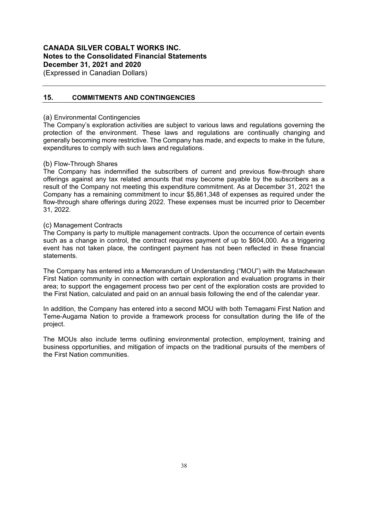(Expressed in Canadian Dollars)

### **15. COMMITMENTS AND CONTINGENCIES**

#### (a) Environmental Contingencies

The Company's exploration activities are subject to various laws and regulations governing the protection of the environment. These laws and regulations are continually changing and generally becoming more restrictive. The Company has made, and expects to make in the future, expenditures to comply with such laws and regulations.

#### (b) Flow-Through Shares

The Company has indemnified the subscribers of current and previous flow-through share offerings against any tax related amounts that may become payable by the subscribers as a result of the Company not meeting this expenditure commitment. As at December 31, 2021 the Company has a remaining commitment to incur \$5,861,348 of expenses as required under the flow-through share offerings during 2022. These expenses must be incurred prior to December 31, 2022.

## (c) Management Contracts

The Company is party to multiple management contracts. Upon the occurrence of certain events such as a change in control, the contract requires payment of up to \$604,000. As a triggering event has not taken place, the contingent payment has not been reflected in these financial statements.

The Company has entered into a Memorandum of Understanding ("MOU") with the Matachewan First Nation community in connection with certain exploration and evaluation programs in their area; to support the engagement process two per cent of the exploration costs are provided to the First Nation, calculated and paid on an annual basis following the end of the calendar year.

In addition, the Company has entered into a second MOU with both Temagami First Nation and Teme-Augama Nation to provide a framework process for consultation during the life of the project.

The MOUs also include terms outlining environmental protection, employment, training and business opportunities, and mitigation of impacts on the traditional pursuits of the members of the First Nation communities.